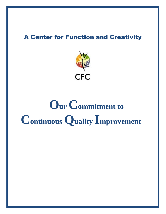## **A Center for Function and Creativity**



Our Commitment to **Continuous Quality Improvement**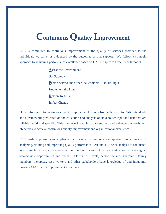## **Continuous Quality Improvement**

CFC is committed to continuous improvement of the quality of services provided to the individuals we serve, as evidenced by the outcomes of that support. We follow a strategic approach to achieving performance excellence based on CARF Aspire to Excellence® model:

> **A**ssess the Environment **S**et Strategy **P**erson Served and Other Stakeholders—Obtain Input **I**mplement the Plan **R**eview Results **E**ffect Change

Our conformance to continuous quality improvement derives from adherence to CARF standards and a framework predicated on the collection and analysis of stakeholder input and data that are reliable, valid and specific. This framework enables us to support and enhance our goals and objectives to achieve continuous quality improvement and organizational excellence.

CFC leadership embraces a planned and shared communication approach as a means of analyzing, refining and improving quality performance. An annual SWOT analysis is conducted as a strategic participatory assessment tool to identify and critically examine company strengths, weaknesses, opportunities and threats. Staff at all levels, persons served, guardians, family members, therapists, case workers and other stakeholders have knowledge of and input into ongoing CFC quality improvement initiatives.